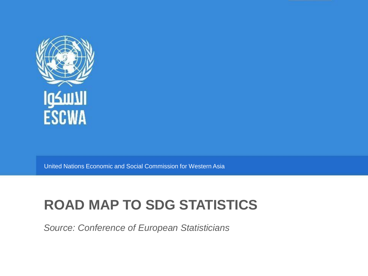

United Nations Economic and Social Commission for Western Asia

## **ROAD MAP TO SDG STATISTICS**

*Source: Conference of European Statisticians*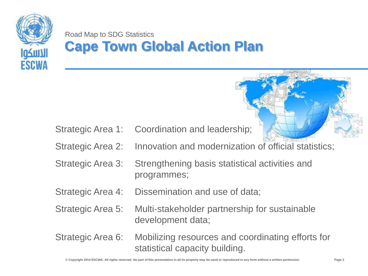

Road Map to SDG Statistics **Cape Town Global Action Plan**

Strategic Area 1: Coordination and leadership;

- Strategic Area 2: Innovation and modernization of official statistics;
- Strategic Area 3: Strengthening basis statistical activities and programmes;
- Strategic Area 4: Dissemination and use of data;
- Strategic Area 5: Multi-stakeholder partnership for sustainable development data;
- Strategic Area 6: Mobilizing resources and coordinating efforts for statistical capacity building.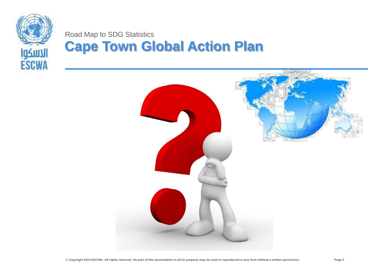

#### Road Map to SDG Statistics **Cape Town Global Action Plan**

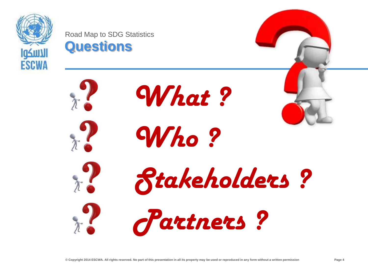

Road Map to SDG Statistics **Questions**













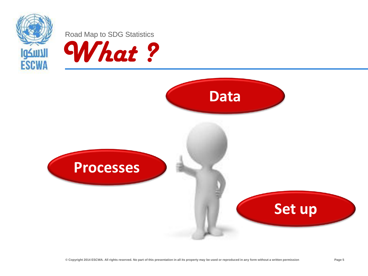

Road Map to SDG Statistics



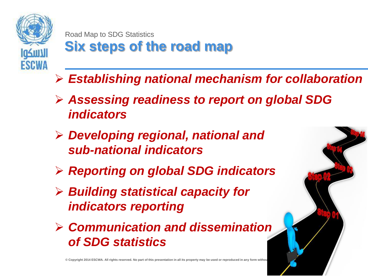

Road Map to SDG Statistics **Six steps of the road map**

- *Establishing national mechanism for collaboration*
- *Assessing readiness to report on global SDG indicators*
- *Developing regional, national and sub-national indicators*
- *Reporting on global SDG indicators*
- *Building statistical capacity for indicators reporting*
- *Communication and dissemination of SDG statistics*

 $\circledcirc$  Copyright 2014 ESCWA. All rights reserved. No part of this presentation in all its property may be used or reproduced in any form without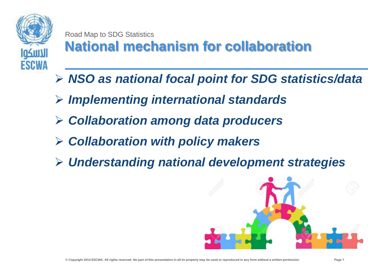

Road Map to SDG Statistics **National mechanism for collaboration**

- *NSO as national focal point for SDG statistics/data*
- *Implementing international standards*
- *Collaboration among data producers*
- *Collaboration with policy makers*
- *Understanding national development strategies*

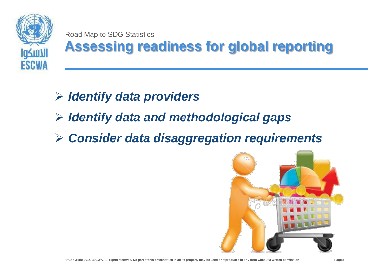

Road Map to SDG Statistics

# **Assessing readiness for global reporting**

- *Identify data providers*
- *Identify data and methodological gaps*
- *Consider data disaggregation requirements*

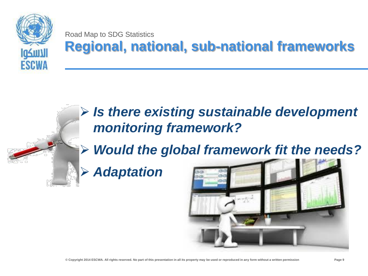

#### Road Map to SDG Statistics **Regional, national, sub-national frameworks**

### *Is there existing sustainable development monitoring framework?*

*Would the global framework fit the needs?*

*Adaptation*

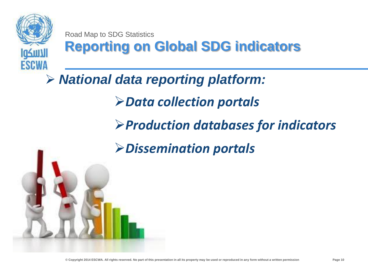

Road Map to SDG Statistics **Reporting on Global SDG indicators**

### *National data reporting platform:*

*Data collection portals*

*Production databases for indicators*

*Dissemination portals*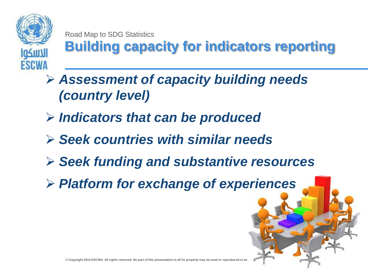

Road Map to SDG Statistics **Building capacity for indicators reporting**

- *Assessment of capacity building needs (country level)*
- *Indicators that can be produced*
- *Seek countries with similar needs*
- *Seek funding and substantive resources*
- *Platform for exchange of experiences*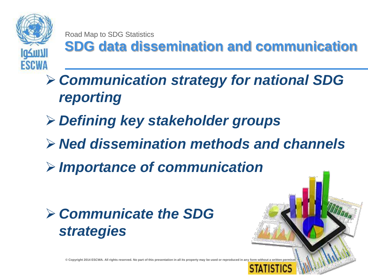

Road Map to SDG Statistics

**SDG data dissemination and communication**

 *Communication strategy for national SDG reporting*

- *Defining key stakeholder groups*
- *Ned dissemination methods and channels*
- *Importance of communication*



**© Copyright 2014 ESCWA. All rights reserved. No part of this presentation in all its property may be used or reproduced in any form without a written permission Page 12**